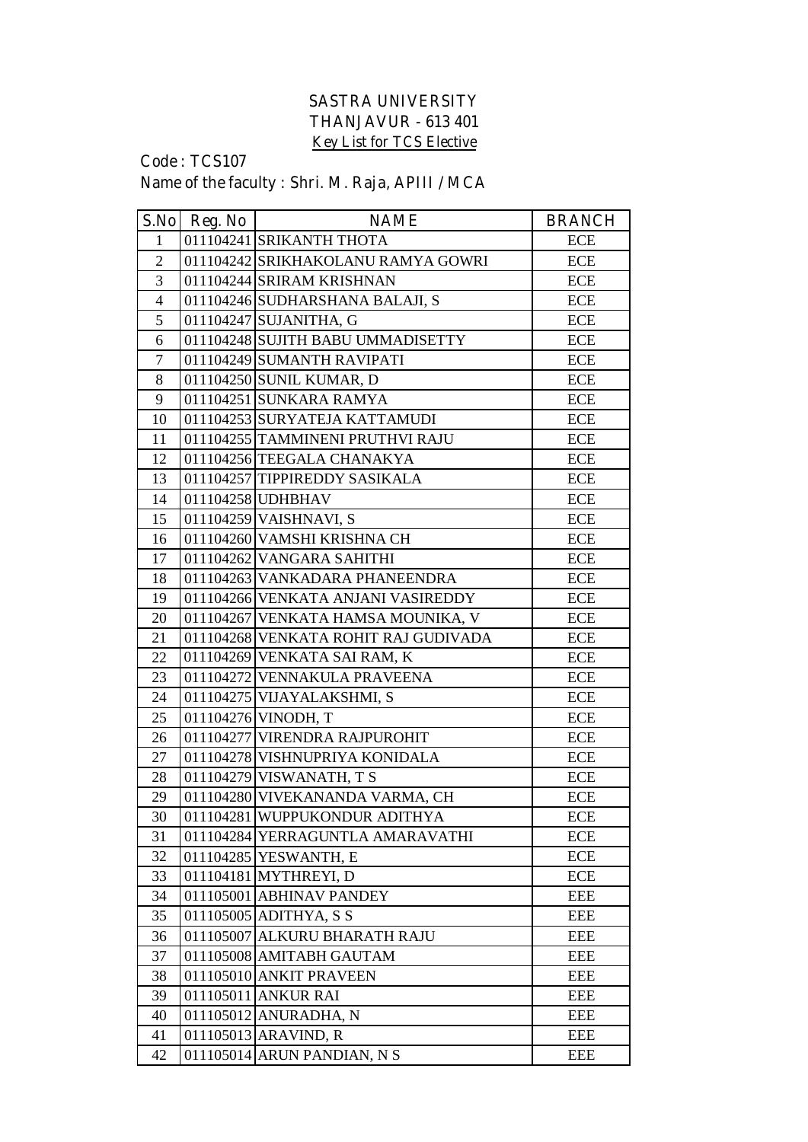## **SASTRA UNIVERSITY THANJAVUR - 613 401 Key List for TCS Elective**

## **Code : TCS107 Name of the faculty : Shri. M. Raja, APIII / MCA**

|                | $S.No$ Reg. No | <b>NAME</b>                          | <b>BRANCH</b> |
|----------------|----------------|--------------------------------------|---------------|
| $\mathbf{1}$   |                | 011104241 SRIKANTH THOTA             | <b>ECE</b>    |
| $\overline{2}$ |                | 011104242 SRIKHAKOLANU RAMYA GOWRI   | ECE           |
| 3              |                | 011104244 SRIRAM KRISHNAN            | <b>ECE</b>    |
| $\overline{4}$ |                | 011104246 SUDHARSHANA BALAJI, S      | ECE           |
| 5              |                | 011104247 SUJANITHA, G               | <b>ECE</b>    |
| 6              |                | 011104248 SUJITH BABU UMMADISETTY    | <b>ECE</b>    |
| $\overline{7}$ |                | 011104249 SUMANTH RAVIPATI           | <b>ECE</b>    |
| 8              |                | 011104250 SUNIL KUMAR, D             | <b>ECE</b>    |
| 9              |                | 011104251 SUNKARA RAMYA              | <b>ECE</b>    |
| 10             |                | 011104253 SURYATEJA KATTAMUDI        | <b>ECE</b>    |
| 11             |                | 011104255 TAMMINENI PRUTHVI RAJU     | ECE           |
| 12             |                | 011104256 TEEGALA CHANAKYA           | <b>ECE</b>    |
| 13             |                | 011104257 TIPPIREDDY SASIKALA        | ECE           |
| 14             |                | 011104258 UDHBHAV                    | <b>ECE</b>    |
| 15             |                | 011104259 VAISHNAVI, S               | <b>ECE</b>    |
| 16             |                | 011104260 VAMSHI KRISHNA CH          | <b>ECE</b>    |
| 17             |                | 011104262 VANGARA SAHITHI            | <b>ECE</b>    |
| 18             |                | 011104263 VANKADARA PHANEENDRA       | <b>ECE</b>    |
| 19             |                | 011104266 VENKATA ANJANI VASIREDDY   | <b>ECE</b>    |
| 20             |                | 011104267 VENKATA HAMSA MOUNIKA, V   | ECE           |
| 21             |                | 011104268 VENKATA ROHIT RAJ GUDIVADA | ECE           |
| 22             |                | 011104269 VENKATA SAI RAM, K         | <b>ECE</b>    |
| 23             |                | 011104272 VENNAKULA PRAVEENA         | <b>ECE</b>    |
| 24             |                | 011104275 VIJAYALAKSHMI, S           | <b>ECE</b>    |
| 25             |                | 011104276 VINODH, T                  | <b>ECE</b>    |
| 26             |                | 011104277 VIRENDRA RAJPUROHIT        | <b>ECE</b>    |
| 27             |                | 011104278 VISHNUPRIYA KONIDALA       | <b>ECE</b>    |
| 28             |                | 011104279 VISWANATH, T S             | <b>ECE</b>    |
| 29             |                | 011104280 VIVEKANANDA VARMA, CH      | <b>ECE</b>    |
| 30             |                | 011104281 WUPPUKONDUR ADITHYA        | ECE           |
| 31             |                | 011104284 YERRAGUNTLA AMARAVATHI     | <b>ECE</b>    |
| 32             |                | 011104285 YESWANTH, E                | ECE           |
| 33             |                | 011104181 MYTHREYI, D                | <b>ECE</b>    |
| 34             |                | 011105001 ABHINAV PANDEY             | EEE           |
| 35             |                | 011105005 ADITHYA, S S               | EEE           |
| 36             |                | 011105007 ALKURU BHARATH RAJU        | EEE           |
| 37             |                | 011105008 AMITABH GAUTAM             | <b>EEE</b>    |
| 38             |                | 011105010 ANKIT PRAVEEN              | EEE           |
| 39             |                | 011105011 ANKUR RAI                  | <b>EEE</b>    |
| 40             |                | 011105012 ANURADHA, N                | EEE           |
| 41             |                | 011105013 ARAVIND, R                 | <b>EEE</b>    |
| 42             |                | 011105014 ARUN PANDIAN, N S          | EEE           |